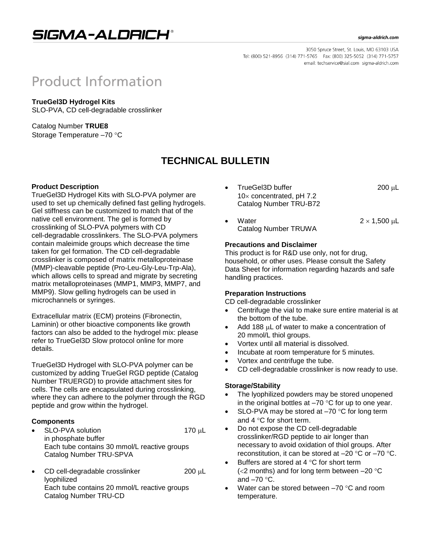## SIGMA-ALDRICH®

#### sigma-aldrich.com

3050 Spruce Street, St. Louis, MO 63103 USA Tel: (800) 521-8956 (314) 771-5765 Fax: (800) 325-5052 (314) 771-5757 email: techservice@sial.com sigma-aldrich.com

# **Product Information**

### **TrueGel3D Hydrogel Kits**

SLO-PVA, CD cell-degradable crosslinker

Catalog Number **TRUE8** Storage Temperature -70 °C

## **TECHNICAL BULLETIN**

#### **Product Description**

TrueGel3D Hydrogel Kits with SLO-PVA polymer are used to set up chemically defined fast gelling hydrogels. Gel stiffness can be customized to match that of the native cell environment. The gel is formed by crosslinking of SLO-PVA polymers with CD cell-degradable crosslinkers. The SLO-PVA polymers contain maleimide groups which decrease the time taken for gel formation. The CD cell-degradable crosslinker is composed of matrix metalloproteinase (MMP)-cleavable peptide (Pro-Leu-Gly-Leu-Trp-Ala), which allows cells to spread and migrate by secreting matrix metalloproteinases (MMP1, MMP3, MMP7, and MMP9). Slow gelling hydrogels can be used in microchannels or syringes.

Extracellular matrix (ECM) proteins (Fibronectin, Laminin) or other bioactive components like growth factors can also be added to the hydrogel mix: please refer to TrueGel3D Slow protocol online for more details.

TrueGel3D Hydrogel with SLO-PVA polymer can be customized by adding TrueGel RGD peptide (Catalog Number TRUERGD) to provide attachment sites for cells. The cells are encapsulated during crosslinking, where they can adhere to the polymer through the RGD peptide and grow within the hydrogel.

#### **Components**

- SLO-PVA solution 170 µL in phosphate buffer Each tube contains 30 mmol/L reactive groups Catalog Number TRU-SPVA
- CD cell-degradable crosslinker  $200 \mu L$ lyophilized Each tube contains 20 mmol/L reactive groups Catalog Number TRU-CD
- TrueGel3D buffer 200 µL  $10\times$  concentrated, pH 7.2 Catalog Number TRU-B72
- Water  $2 \times 1,500 \text{ }\mu\text{L}$ Catalog Number TRUWA

#### **Precautions and Disclaimer**

This product is for R&D use only, not for drug, household, or other uses. Please consult the Safety Data Sheet for information regarding hazards and safe handling practices.

#### **Preparation Instructions**

CD cell-degradable crosslinker

- Centrifuge the vial to make sure entire material is at the bottom of the tube.
- Add 188  $\mu$ L of water to make a concentration of 20 mmol/L thiol groups.
- Vortex until all material is dissolved.
- Incubate at room temperature for 5 minutes.
- Vortex and centrifuge the tube.
- CD cell-degradable crosslinker is now ready to use.

#### **Storage/Stability**

- The lyophilized powders may be stored unopened in the original bottles at  $-70$  °C for up to one year.
- SLO-PVA may be stored at  $-70$  °C for long term and  $4^{\circ}$ C for short term.
- Do not expose the CD cell-degradable crosslinker/RGD peptide to air longer than necessary to avoid oxidation of thiol groups. After reconstitution, it can be stored at  $-20$  °C or  $-70$  °C.
- Buffers are stored at 4  $\degree$ C for short term ( $<$ 2 months) and for long term between  $-20$  °C and  $-70$  °C.
- Water can be stored between  $-70$  °C and room temperature.